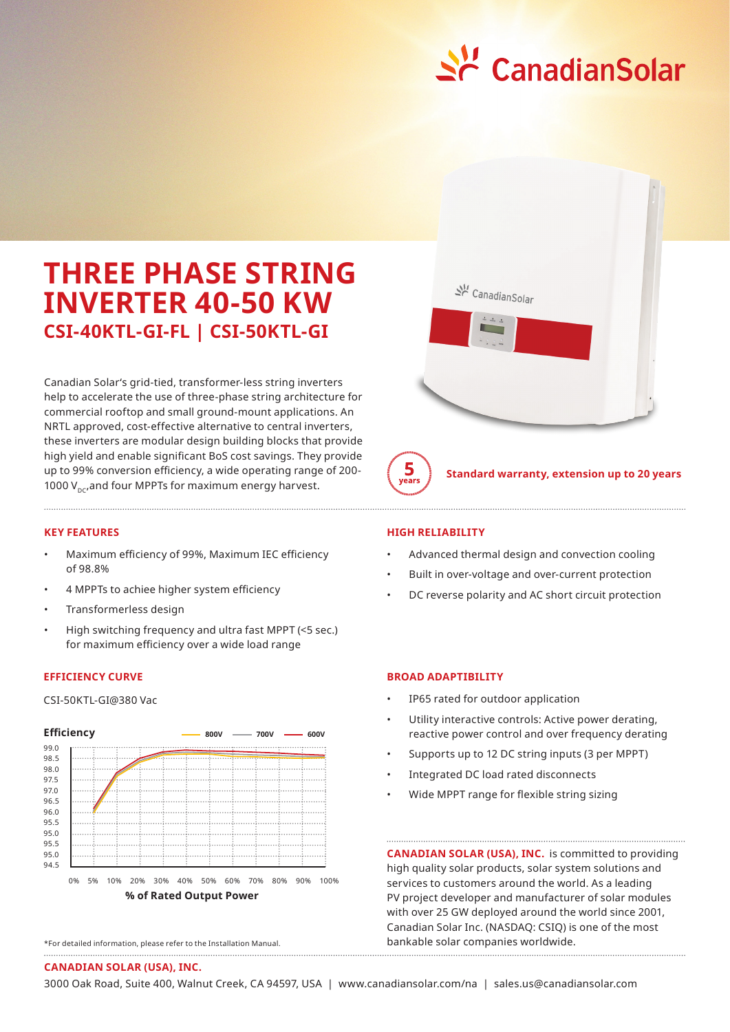

# **THREE PHASE STRING INVERTER 40-50 KW CSI-40KTL-GI-FL | CSI-50KTL-GI**

Canadian Solar's grid-tied, transformer-less string inverters help to accelerate the use of three-phase string architecture for commercial rooftop and small ground-mount applications. An NRTL approved, cost-effective alternative to central inverters, these inverters are modular design building blocks that provide high yield and enable significant BoS cost savings. They provide up to 99% conversion efficiency, a wide operating range of 200- 1000  $V_{\text{nc}}$ , and four MPPTs for maximum energy harvest.

## **KEY FEATURES**

- Maximum efficiency of 99%, Maximum IEC efficiency of 98.8%
- 4 MPPTs to achiee higher system efficiency
- Transformerless design
- High switching frequency and ultra fast MPPT (<5 sec.) for maximum efficiency over a wide load range

## **EFFICIENCY CURVE**

CSI-50KTL-GI@380 Vac



<sup>\*</sup>For detailed information, please refer to the Installation Manual.



**Standard warranty, extension up to 20 years**

### **HIGH RELIABILITY**

 $\frac{5}{\sqrt{2}}$ 

- Advanced thermal design and convection cooling
- Built in over-voltage and over-current protection
- DC reverse polarity and AC short circuit protection

## **BROAD ADAPTIBILITY**

- IP65 rated for outdoor application
- Utility interactive controls: Active power derating, reactive power control and over frequency derating
- Supports up to 12 DC string inputs (3 per MPPT)
- Integrated DC load rated disconnects
- Wide MPPT range for flexible string sizing

**CANADIAN SOLAR (USA), INC.** is committed to providing high quality solar products, solar system solutions and services to customers around the world. As a leading PV project developer and manufacturer of solar modules with over 25 GW deployed around the world since 2001, Canadian Solar Inc. (NASDAQ: CSIQ) is one of the most bankable solar companies worldwide.

#### **CANADIAN SOLAR (USA), INC.**